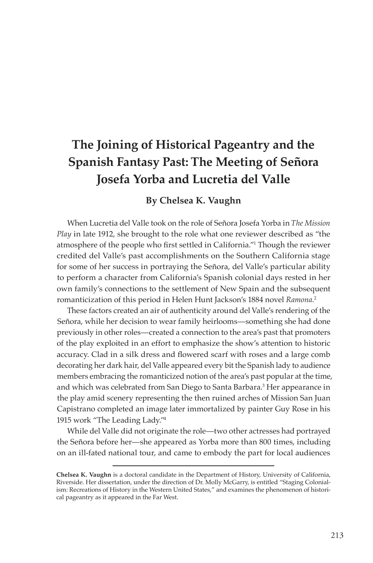# **The Joining of Historical Pageantry and the Spanish Fantasy Past: The Meeting of Señora Josefa Yorba and Lucretia del Valle**

### **By Chelsea K. Vaughn**

When Lucretia del Valle took on the role of Señora Josefa Yorba in *The Mission Play* in late 1912, she brought to the role what one reviewer described as "the atmosphere of the people who first settled in California."I Though the reviewer credited del Valle's past accomplishments on the Southern California stage for some of her success in portraying the Señora, del Valle's particular ability to perform a character from California's Spanish colonial days rested in her own family's connections to the settlement of New Spain and the subsequent romanticization of this period in Helen Hunt Jackson's 1884 novel *Ramona*. 2

These factors created an air of authenticity around del Valle's rendering of the Señora, while her decision to wear family heirlooms—something she had done previously in other roles—created a connection to the area's past that promoters of the play exploited in an effort to emphasize the show's attention to historic accuracy. Clad in a silk dress and flowered scarf with roses and a large comb decorating her dark hair, del Valle appeared every bit the Spanish lady to audience members embracing the romanticized notion of the area's past popular at the time, and which was celebrated from San Diego to Santa Barbara.<sup>3</sup> Her appearance in the play amid scenery representing the then ruined arches of Mission San Juan Capistrano completed an image later immortalized by painter Guy Rose in his 1915 work "The Leading Lady."4

While del Valle did not originate the role—two other actresses had portrayed the Señora before her—she appeared as Yorba more than 800 times, including on an ill-fated national tour, and came to embody the part for local audiences

**Chelsea K. Vaughn** is a doctoral candidate in the Department of History, University of California, Riverside. Her dissertation, under the direction of Dr. Molly McGarry, is entitled "Staging Colonialism: Recreations of History in the Western United States," and examines the phenomenon of historical pageantry as it appeared in the Far West.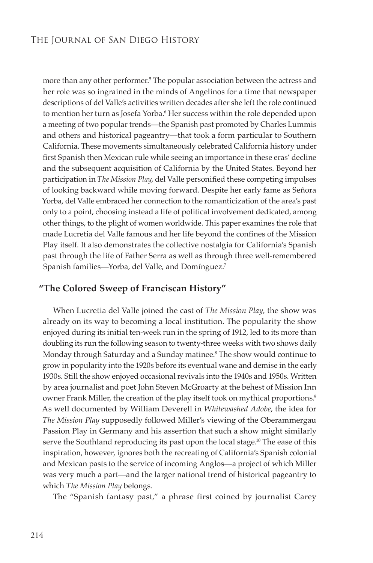more than any other performer.5 The popular association between the actress and her role was so ingrained in the minds of Angelinos for a time that newspaper descriptions of del Valle's activities written decades after she left the role continued to mention her turn as Josefa Yorba.<sup>6</sup> Her success within the role depended upon a meeting of two popular trends—the Spanish past promoted by Charles Lummis and others and historical pageantry—that took a form particular to Southern California. These movements simultaneously celebrated California history under first Spanish then Mexican rule while seeing an importance in these eras' decline and the subsequent acquisition of California by the United States. Beyond her participation in *The Mission Play*, del Valle personified these competing impulses of looking backward while moving forward. Despite her early fame as Señora Yorba, del Valle embraced her connection to the romanticization of the area's past only to a point, choosing instead a life of political involvement dedicated, among other things, to the plight of women worldwide. This paper examines the role that made Lucretia del Valle famous and her life beyond the confines of the Mission Play itself. It also demonstrates the collective nostalgia for California's Spanish past through the life of Father Serra as well as through three well-remembered Spanish families—Yorba, del Valle, and Domínguez.7

### **"The Colored Sweep of Franciscan History"**

When Lucretia del Valle joined the cast of *The Mission Play,* the show was already on its way to becoming a local institution. The popularity the show enjoyed during its initial ten-week run in the spring of 1912, led to its more than doubling its run the following season to twenty-three weeks with two shows daily Monday through Saturday and a Sunday matinee.8 The show would continue to grow in popularity into the 1920s before its eventual wane and demise in the early 1930s. Still the show enjoyed occasional revivals into the 1940s and 1950s. Written by area journalist and poet John Steven McGroarty at the behest of Mission Inn owner Frank Miller, the creation of the play itself took on mythical proportions.<sup>9</sup> As well documented by William Deverell in *Whitewashed Adobe*, the idea for *The Mission Play* supposedly followed Miller's viewing of the Oberammergau Passion Play in Germany and his assertion that such a show might similarly serve the Southland reproducing its past upon the local stage.10 The ease of this inspiration, however, ignores both the recreating of California's Spanish colonial and Mexican pasts to the service of incoming Anglos—a project of which Miller was very much a part—and the larger national trend of historical pageantry to which *The Mission Play* belongs.

The "Spanish fantasy past," a phrase first coined by journalist Carey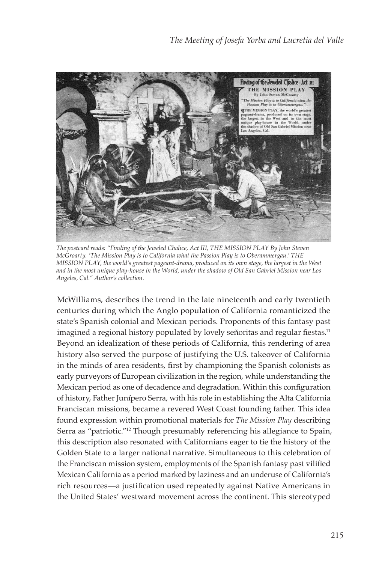

*The postcard reads: "Finding of the Jeweled Chalice, Act III, THE MISSION PLAY By John Steven McGroarty. 'The Mission Play is to California what the Passion Play is to Oberammergau.' THE MISSION PLAY, the world's greatest pageant-drama, produced on its own stage, the largest in the West and in the most unique play-house in the World, under the shadow of Old San Gabriel Mission near Los Angeles, Cal." Author's collection.*

McWilliams, describes the trend in the late nineteenth and early twentieth centuries during which the Anglo population of California romanticized the state's Spanish colonial and Mexican periods. Proponents of this fantasy past imagined a regional history populated by lovely señoritas and regular fiestas.<sup>11</sup> Beyond an idealization of these periods of California, this rendering of area history also served the purpose of justifying the U.S. takeover of California in the minds of area residents, first by championing the Spanish colonists as early purveyors of European civilization in the region, while understanding the Mexican period as one of decadence and degradation. Within this configuration of history, Father Junípero Serra, with his role in establishing the Alta California Franciscan missions, became a revered West Coast founding father. This idea found expression within promotional materials for *The Mission Play* describing Serra as "patriotic."12 Though presumably referencing his allegiance to Spain, this description also resonated with Californians eager to tie the history of the Golden State to a larger national narrative. Simultaneous to this celebration of the Franciscan mission system, employments of the Spanish fantasy past vilified Mexican California as a period marked by laziness and an underuse of California's rich resources-a justification used repeatedly against Native Americans in the United States' westward movement across the continent. This stereotyped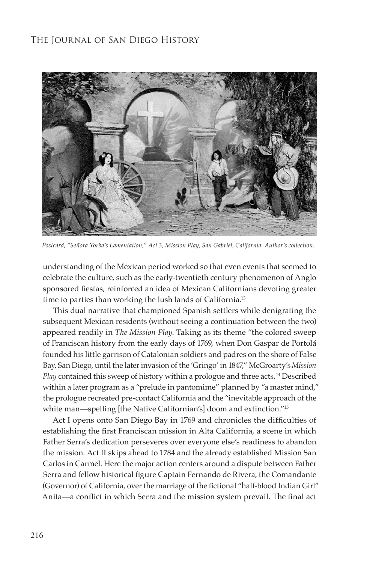

*Postcard, "Señora Yorba's Lamentation," Act 3, Mission Play, San Gabriel, California. Author's collection.*

understanding of the Mexican period worked so that even events that seemed to celebrate the culture, such as the early-twentieth century phenomenon of Anglo sponsored fiestas, reinforced an idea of Mexican Californians devoting greater time to parties than working the lush lands of California.<sup>13</sup>

This dual narrative that championed Spanish settlers while denigrating the subsequent Mexican residents (without seeing a continuation between the two) appeared readily in *The Mission Play*. Taking as its theme "the colored sweep of Franciscan history from the early days of 1769, when Don Gaspar de Portolá founded his little garrison of Catalonian soldiers and padres on the shore of False Bay, San Diego, until the later invasion of the 'Gringo' in 1847," McGroarty's *Mission Play* contained this sweep of history within a prologue and three acts.<sup>14</sup> Described within a later program as a "prelude in pantomime" planned by "a master mind," the prologue recreated pre-contact California and the "inevitable approach of the white man—spelling [the Native Californian's] doom and extinction."<sup>15</sup>

Act I opens onto San Diego Bay in 1769 and chronicles the difficulties of establishing the first Franciscan mission in Alta California, a scene in which Father Serra's dedication perseveres over everyone else's readiness to abandon the mission. Act II skips ahead to 1784 and the already established Mission San Carlos in Carmel. Here the major action centers around a dispute between Father Serra and fellow historical figure Captain Fernando de Rivera, the Comandante (Governor) of California, over the marriage of the fictional "half-blood Indian Girl" Anita-a conflict in which Serra and the mission system prevail. The final act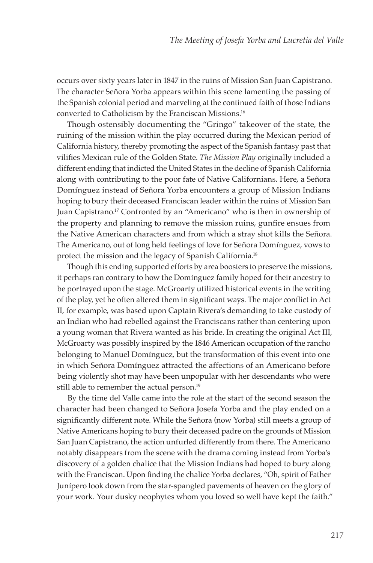occurs over sixty years later in 1847 in the ruins of Mission San Juan Capistrano. The character Señora Yorba appears within this scene lamenting the passing of the Spanish colonial period and marveling at the continued faith of those Indians converted to Catholicism by the Franciscan Missions.16

Though ostensibly documenting the "Gringo" takeover of the state, the ruining of the mission within the play occurred during the Mexican period of California history, thereby promoting the aspect of the Spanish fantasy past that vilifies Mexican rule of the Golden State. The Mission Play originally included a different ending that indicted the United States in the decline of Spanish California along with contributing to the poor fate of Native Californians. Here, a Señora Domínguez instead of Señora Yorba encounters a group of Mission Indians hoping to bury their deceased Franciscan leader within the ruins of Mission San Juan Capistrano.17 Confronted by an "Americano" who is then in ownership of the property and planning to remove the mission ruins, gunfire ensues from the Native American characters and from which a stray shot kills the Señora. The Americano, out of long held feelings of love for Señora Domínguez, vows to protect the mission and the legacy of Spanish California.18

Though this ending supported efforts by area boosters to preserve the missions, it perhaps ran contrary to how the Domínguez family hoped for their ancestry to be portrayed upon the stage. McGroarty utilized historical events in the writing of the play, yet he often altered them in significant ways. The major conflict in Act II, for example, was based upon Captain Rivera's demanding to take custody of an Indian who had rebelled against the Franciscans rather than centering upon a young woman that Rivera wanted as his bride. In creating the original Act III, McGroarty was possibly inspired by the 1846 American occupation of the rancho belonging to Manuel Domínguez, but the transformation of this event into one in which Señora Domínguez attracted the affections of an Americano before being violently shot may have been unpopular with her descendants who were still able to remember the actual person.<sup>19</sup>

By the time del Valle came into the role at the start of the second season the character had been changed to Señora Josefa Yorba and the play ended on a significantly different note. While the Señora (now Yorba) still meets a group of Native Americans hoping to bury their deceased padre on the grounds of Mission San Juan Capistrano, the action unfurled differently from there. The Americano notably disappears from the scene with the drama coming instead from Yorba's discovery of a golden chalice that the Mission Indians had hoped to bury along with the Franciscan. Upon finding the chalice Yorba declares, "Oh, spirit of Father Junípero look down from the star-spangled pavements of heaven on the glory of your work. Your dusky neophytes whom you loved so well have kept the faith."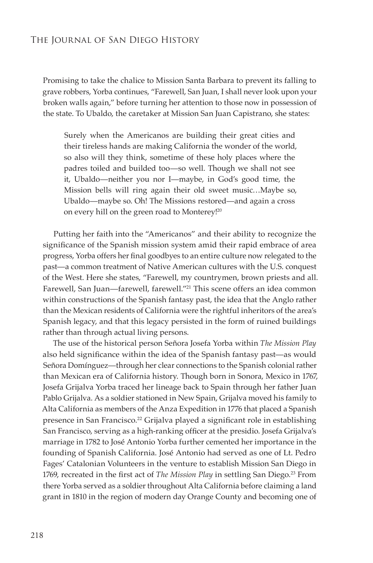Promising to take the chalice to Mission Santa Barbara to prevent its falling to grave robbers, Yorba continues, "Farewell, San Juan, I shall never look upon your broken walls again," before turning her attention to those now in possession of the state. To Ubaldo, the caretaker at Mission San Juan Capistrano, she states:

Surely when the Americanos are building their great cities and their tireless hands are making California the wonder of the world, so also will they think, sometime of these holy places where the padres toiled and builded too—so well. Though we shall not see it, Ubaldo—neither you nor I—maybe, in God's good time, the Mission bells will ring again their old sweet music…Maybe so, Ubaldo—maybe so. Oh! The Missions restored—and again a cross on every hill on the green road to Monterey!20

Putting her faith into the "Americanos" and their ability to recognize the significance of the Spanish mission system amid their rapid embrace of area progress, Yorba offers her final goodbyes to an entire culture now relegated to the past—a common treatment of Native American cultures with the U.S. conquest of the West. Here she states, "Farewell, my countrymen, brown priests and all. Farewell, San Juan—farewell, farewell."21 This scene offers an idea common within constructions of the Spanish fantasy past, the idea that the Anglo rather than the Mexican residents of California were the rightful inheritors of the area's Spanish legacy, and that this legacy persisted in the form of ruined buildings rather than through actual living persons.

The use of the historical person Señora Josefa Yorba within *The Mission Play*  also held significance within the idea of the Spanish fantasy past—as would Señora Domínguez—through her clear connections to the Spanish colonial rather than Mexican era of California history. Though born in Sonora, Mexico in 1767, Josefa Grijalva Yorba traced her lineage back to Spain through her father Juan Pablo Grijalva. As a soldier stationed in New Spain, Grijalva moved his family to Alta California as members of the Anza Expedition in 1776 that placed a Spanish presence in San Francisco.<sup>22</sup> Grijalva played a significant role in establishing San Francisco, serving as a high-ranking officer at the presidio. Josefa Grijalva's marriage in 1782 to José Antonio Yorba further cemented her importance in the founding of Spanish California. José Antonio had served as one of Lt. Pedro Fages' Catalonian Volunteers in the venture to establish Mission San Diego in 1769, recreated in the first act of *The Mission Play* in settling San Diego.<sup>23</sup> From there Yorba served as a soldier throughout Alta California before claiming a land grant in 1810 in the region of modern day Orange County and becoming one of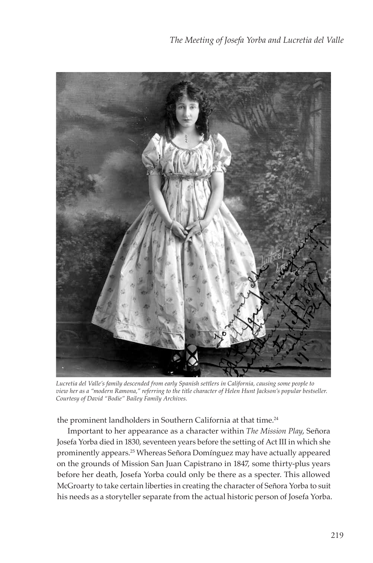

*Lucretia del Valle's family descended from early Spanish settlers in California, causing some people to view her as a "modern Ramona," referring to the title character of Helen Hunt Jackson's popular bestseller. Courtesy of David "Bodie" Bailey Family Archives.*

the prominent landholders in Southern California at that time.<sup>24</sup>

Important to her appearance as a character within *The Mission Play*, Señora Josefa Yorba died in 1830, seventeen years before the setting of Act III in which she prominently appears.25 Whereas Señora Domínguez may have actually appeared on the grounds of Mission San Juan Capistrano in 1847, some thirty-plus years before her death, Josefa Yorba could only be there as a specter. This allowed McGroarty to take certain liberties in creating the character of Señora Yorba to suit his needs as a storyteller separate from the actual historic person of Josefa Yorba.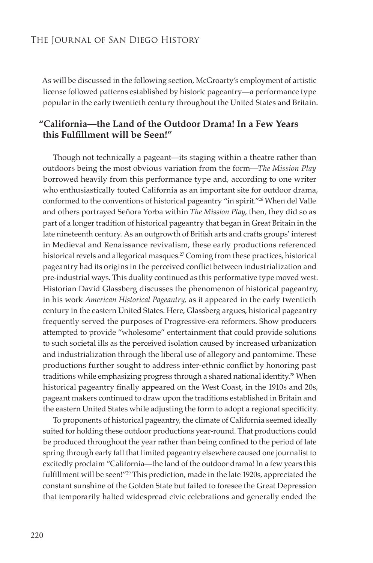As will be discussed in the following section, McGroarty's employment of artistic license followed patterns established by historic pageantry—a performance type popular in the early twentieth century throughout the United States and Britain.

### **"California—the Land of the Outdoor Drama! In a Few Years this Fulfillment will be Seen!"**

Though not technically a pageant—its staging within a theatre rather than outdoors being the most obvious variation from the form—*The Mission Play*  borrowed heavily from this performance type and, according to one writer who enthusiastically touted California as an important site for outdoor drama, conformed to the conventions of historical pageantry "in spirit."26 When del Valle and others portrayed Señora Yorba within *The Mission Play*, then, they did so as part of a longer tradition of historical pageantry that began in Great Britain in the late nineteenth century. As an outgrowth of British arts and crafts groups' interest in Medieval and Renaissance revivalism, these early productions referenced historical revels and allegorical masques.<sup>27</sup> Coming from these practices, historical pageantry had its origins in the perceived conflict between industrialization and pre-industrial ways. This duality continued as this performative type moved west. Historian David Glassberg discusses the phenomenon of historical pageantry, in his work *American Historical Pageantry*, as it appeared in the early twentieth century in the eastern United States. Here, Glassberg argues, historical pageantry frequently served the purposes of Progressive-era reformers. Show producers attempted to provide "wholesome" entertainment that could provide solutions to such societal ills as the perceived isolation caused by increased urbanization and industrialization through the liberal use of allegory and pantomime. These productions further sought to address inter-ethnic conflict by honoring past traditions while emphasizing progress through a shared national identity.<sup>28</sup> When historical pageantry finally appeared on the West Coast, in the 1910s and 20s, pageant makers continued to draw upon the traditions established in Britain and the eastern United States while adjusting the form to adopt a regional specificity.

To proponents of historical pageantry, the climate of California seemed ideally suited for holding these outdoor productions year-round. That productions could be produced throughout the year rather than being confined to the period of late spring through early fall that limited pageantry elsewhere caused one journalist to excitedly proclaim "California—the land of the outdoor drama! In a few years this fulfillment will be seen!"<sup>29</sup> This prediction, made in the late 1920s, appreciated the constant sunshine of the Golden State but failed to foresee the Great Depression that temporarily halted widespread civic celebrations and generally ended the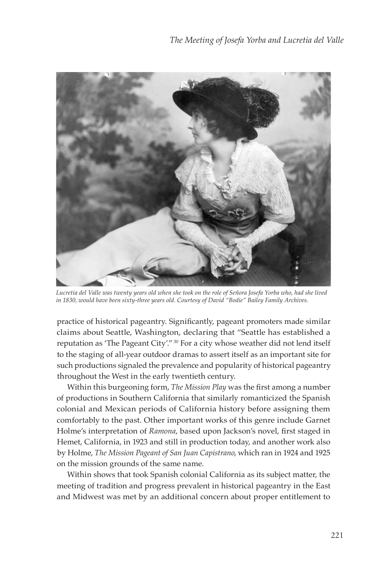

*Lucretia del Valle was twenty years old when she took on the role of Señora Josefa Yorba who, had she lived in 1830, would have been sixty-three years old. Courtesy of David "Bodie" Bailey Family Archives.*

practice of historical pageantry. Significantly, pageant promoters made similar claims about Seattle, Washington, declaring that "Seattle has established a reputation as 'The Pageant City'." 30 For a city whose weather did not lend itself to the staging of all-year outdoor dramas to assert itself as an important site for such productions signaled the prevalence and popularity of historical pageantry throughout the West in the early twentieth century.

Within this burgeoning form, *The Mission Play* was the first among a number of productions in Southern California that similarly romanticized the Spanish colonial and Mexican periods of California history before assigning them comfortably to the past. Other important works of this genre include Garnet Holme's interpretation of *Ramona*, based upon Jackson's novel, first staged in Hemet, California, in 1923 and still in production today, and another work also by Holme, *The Mission Pageant of San Juan Capistrano*, which ran in 1924 and 1925 on the mission grounds of the same name.

Within shows that took Spanish colonial California as its subject matter, the meeting of tradition and progress prevalent in historical pageantry in the East and Midwest was met by an additional concern about proper entitlement to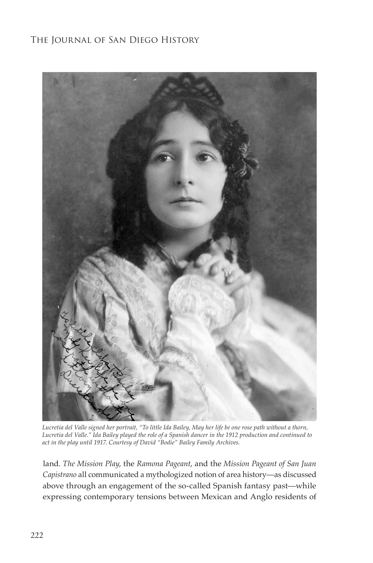

*Lucretia del Valle signed her portrait, "To little Ida Bailey, May her life be one rose path without a thorn, Lucretia del Valle." Ida Bailey played the role of a Spanish dancer in the 1912 production and continued to act in the play until 1917. Courtesy of David "Bodie" Bailey Family Archives.*

land. *The Mission Play*, the *Ramona Pageant*, and the *Mission Pageant of San Juan Capistrano* all communicated a mythologized notion of area history—as discussed above through an engagement of the so-called Spanish fantasy past—while expressing contemporary tensions between Mexican and Anglo residents of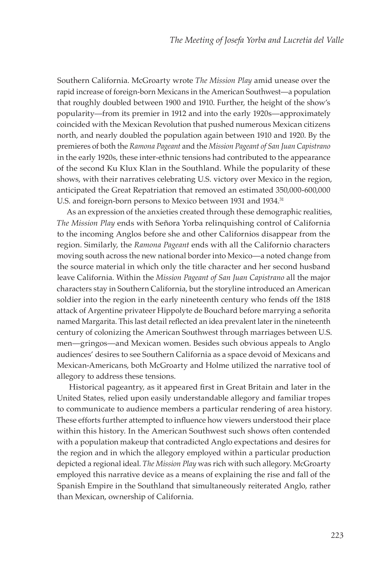Southern California. McGroarty wrote *The Mission Play* amid unease over the rapid increase of foreign-born Mexicans in the American Southwest—a population that roughly doubled between 1900 and 1910. Further, the height of the show's popularity—from its premier in 1912 and into the early 1920s—approximately coincided with the Mexican Revolution that pushed numerous Mexican citizens north, and nearly doubled the population again between 1910 and 1920. By the premieres of both the *Ramona Pageant* and the *Mission Pageant of San Juan Capistrano* in the early 1920s, these inter-ethnic tensions had contributed to the appearance of the second Ku Klux Klan in the Southland. While the popularity of these shows, with their narratives celebrating U.S. victory over Mexico in the region, anticipated the Great Repatriation that removed an estimated 350,000-600,000 U.S. and foreign-born persons to Mexico between 1931 and 1934.<sup>31</sup>

As an expression of the anxieties created through these demographic realities, *The Mission Play* ends with Señora Yorba relinquishing control of California to the incoming Anglos before she and other Californios disappear from the region. Similarly, the *Ramona Pageant* ends with all the Californio characters moving south across the new national border into Mexico—a noted change from the source material in which only the title character and her second husband leave California. Within the *Mission Pageant of San Juan Capistrano* all the major characters stay in Southern California, but the storyline introduced an American soldier into the region in the early nineteenth century who fends off the 1818 attack of Argentine privateer Hippolyte de Bouchard before marrying a señorita named Margarita. This last detail reflected an idea prevalent later in the nineteenth century of colonizing the American Southwest through marriages between U.S. men—gringos—and Mexican women. Besides such obvious appeals to Anglo audiences' desires to see Southern California as a space devoid of Mexicans and Mexican-Americans, both McGroarty and Holme utilized the narrative tool of allegory to address these tensions.

Historical pageantry, as it appeared first in Great Britain and later in the United States, relied upon easily understandable allegory and familiar tropes to communicate to audience members a particular rendering of area history. These efforts further attempted to influence how viewers understood their place within this history. In the American Southwest such shows often contended with a population makeup that contradicted Anglo expectations and desires for the region and in which the allegory employed within a particular production depicted a regional ideal. *The Mission Play* was rich with such allegory. McGroarty employed this narrative device as a means of explaining the rise and fall of the Spanish Empire in the Southland that simultaneously reiterated Anglo, rather than Mexican, ownership of California.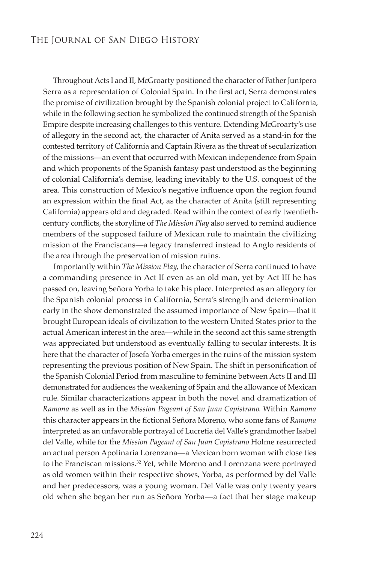Throughout Acts I and II, McGroarty positioned the character of Father Junípero Serra as a representation of Colonial Spain. In the first act, Serra demonstrates the promise of civilization brought by the Spanish colonial project to California, while in the following section he symbolized the continued strength of the Spanish Empire despite increasing challenges to this venture. Extending McGroarty's use of allegory in the second act, the character of Anita served as a stand-in for the contested territory of California and Captain Rivera as the threat of secularization of the missions—an event that occurred with Mexican independence from Spain and which proponents of the Spanish fantasy past understood as the beginning of colonial California's demise, leading inevitably to the U.S. conquest of the area. This construction of Mexico's negative influence upon the region found an expression within the final Act, as the character of Anita (still representing California) appears old and degraded. Read within the context of early twentiethcentury conflicts, the storyline of *The Mission Play* also served to remind audience members of the supposed failure of Mexican rule to maintain the civilizing mission of the Franciscans—a legacy transferred instead to Anglo residents of the area through the preservation of mission ruins.

Importantly within *The Mission Play*, the character of Serra continued to have a commanding presence in Act II even as an old man, yet by Act III he has passed on, leaving Señora Yorba to take his place. Interpreted as an allegory for the Spanish colonial process in California, Serra's strength and determination early in the show demonstrated the assumed importance of New Spain—that it brought European ideals of civilization to the western United States prior to the actual American interest in the area—while in the second act this same strength was appreciated but understood as eventually falling to secular interests. It is here that the character of Josefa Yorba emerges in the ruins of the mission system representing the previous position of New Spain. The shift in personification of the Spanish Colonial Period from masculine to feminine between Acts II and III demonstrated for audiences the weakening of Spain and the allowance of Mexican rule. Similar characterizations appear in both the novel and dramatization of *Ramona* as well as in the *Mission Pageant of San Juan Capistrano*. Within *Ramona* this character appears in the fictional Señora Moreno, who some fans of Ramona interpreted as an unfavorable portrayal of Lucretia del Valle's grandmother Isabel del Valle, while for the *Mission Pageant of San Juan Capistrano* Holme resurrected an actual person Apolinaria Lorenzana—a Mexican born woman with close ties to the Franciscan missions.<sup>32</sup> Yet, while Moreno and Lorenzana were portrayed as old women within their respective shows, Yorba, as performed by del Valle and her predecessors, was a young woman. Del Valle was only twenty years old when she began her run as Señora Yorba—a fact that her stage makeup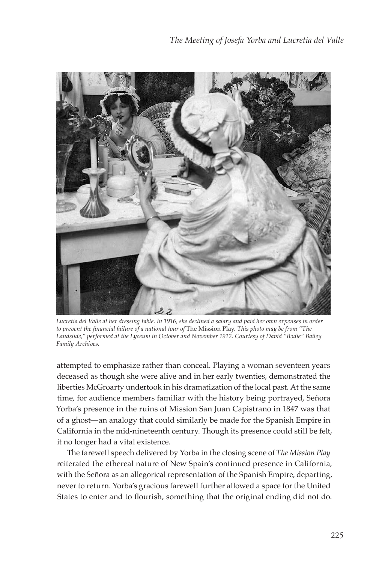

*Lucretia del Valle at her dressing table. In 1916, she declined a salary and paid her own expenses in order*  to prevent the financial failure of a national tour of The Mission Play. This photo may be from "The *Landslide," performed at the Lyceum in October and November 1912. Courtesy of David "Bodie" Bailey Family Archives.*

attempted to emphasize rather than conceal. Playing a woman seventeen years deceased as though she were alive and in her early twenties, demonstrated the liberties McGroarty undertook in his dramatization of the local past. At the same time, for audience members familiar with the history being portrayed, Señora Yorba's presence in the ruins of Mission San Juan Capistrano in 1847 was that of a ghost—an analogy that could similarly be made for the Spanish Empire in California in the mid-nineteenth century. Though its presence could still be felt, it no longer had a vital existence.

The farewell speech delivered by Yorba in the closing scene of *The Mission Play*  reiterated the ethereal nature of New Spain's continued presence in California, with the Señora as an allegorical representation of the Spanish Empire, departing, never to return. Yorba's gracious farewell further allowed a space for the United States to enter and to flourish, something that the original ending did not do.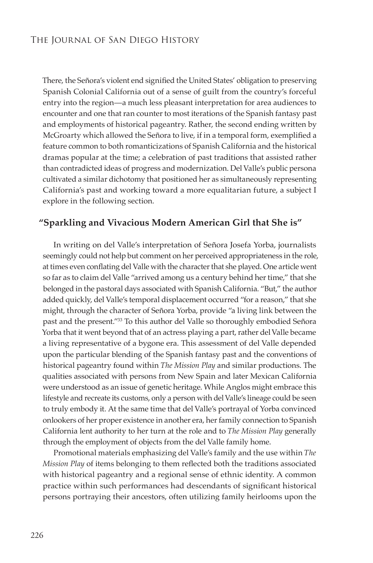There, the Señora's violent end signified the United States' obligation to preserving Spanish Colonial California out of a sense of guilt from the country's forceful entry into the region—a much less pleasant interpretation for area audiences to encounter and one that ran counter to most iterations of the Spanish fantasy past and employments of historical pageantry. Rather, the second ending written by McGroarty which allowed the Señora to live, if in a temporal form, exemplified a feature common to both romanticizations of Spanish California and the historical dramas popular at the time; a celebration of past traditions that assisted rather than contradicted ideas of progress and modernization. Del Valle's public persona cultivated a similar dichotomy that positioned her as simultaneously representing California's past and working toward a more equalitarian future, a subject I explore in the following section.

## **"Sparkling and Vivacious Modern American Girl that She is"**

In writing on del Valle's interpretation of Señora Josefa Yorba, journalists seemingly could not help but comment on her perceived appropriateness in the role, at times even conflating del Valle with the character that she played. One article went so far as to claim del Valle "arrived among us a century behind her time," that she belonged in the pastoral days associated with Spanish California. "But," the author added quickly, del Valle's temporal displacement occurred "for a reason," that she might, through the character of Señora Yorba, provide "a living link between the past and the present."33 To this author del Valle so thoroughly embodied Señora Yorba that it went beyond that of an actress playing a part, rather del Valle became a living representative of a bygone era. This assessment of del Valle depended upon the particular blending of the Spanish fantasy past and the conventions of historical pageantry found within *The Mission Play* and similar productions. The qualities associated with persons from New Spain and later Mexican California were understood as an issue of genetic heritage. While Anglos might embrace this lifestyle and recreate its customs, only a person with del Valle's lineage could be seen to truly embody it. At the same time that del Valle's portrayal of Yorba convinced onlookers of her proper existence in another era, her family connection to Spanish California lent authority to her turn at the role and to *The Mission Play* generally through the employment of objects from the del Valle family home.

Promotional materials emphasizing del Valle's family and the use within *The Mission Play* of items belonging to them reflected both the traditions associated with historical pageantry and a regional sense of ethnic identity. A common practice within such performances had descendants of significant historical persons portraying their ancestors, often utilizing family heirlooms upon the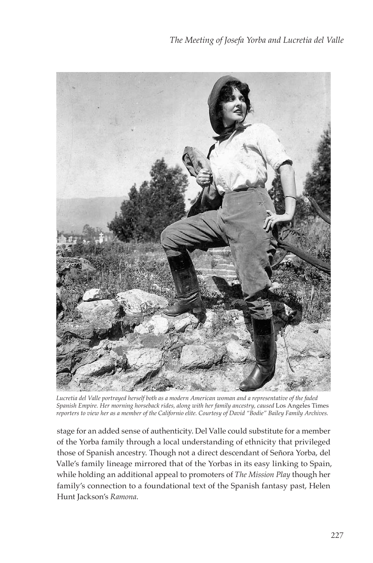

*Lucretia del Valle portrayed herself both as a modern American woman and a representative of the faded Spanish Empire. Her morning horseback rides, along with her family ancestry, caused* Los Angeles Times *reporters to view her as a member of the Californio elite. Courtesy of David "Bodie" Bailey Family Archives.*

stage for an added sense of authenticity. Del Valle could substitute for a member of the Yorba family through a local understanding of ethnicity that privileged those of Spanish ancestry. Though not a direct descendant of Señora Yorba, del Valle's family lineage mirrored that of the Yorbas in its easy linking to Spain, while holding an additional appeal to promoters of *The Mission Play* though her family's connection to a foundational text of the Spanish fantasy past, Helen Hunt Jackson's *Ramona*.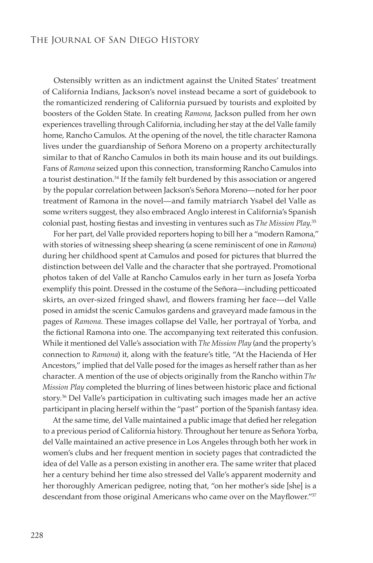Ostensibly written as an indictment against the United States' treatment of California Indians, Jackson's novel instead became a sort of guidebook to the romanticized rendering of California pursued by tourists and exploited by boosters of the Golden State. In creating *Ramona*, Jackson pulled from her own experiences travelling through California, including her stay at the del Valle family home, Rancho Camulos. At the opening of the novel, the title character Ramona lives under the guardianship of Señora Moreno on a property architecturally similar to that of Rancho Camulos in both its main house and its out buildings. Fans of *Ramona* seized upon this connection, transforming Rancho Camulos into a tourist destination.<sup>34</sup> If the family felt burdened by this association or angered by the popular correlation between Jackson's Señora Moreno—noted for her poor treatment of Ramona in the novel—and family matriarch Ysabel del Valle as some writers suggest, they also embraced Anglo interest in California's Spanish colonial past, hosting fiestas and investing in ventures such as T*he Mission Play*.<sup>35</sup>

For her part, del Valle provided reporters hoping to bill her a "modern Ramona," with stories of witnessing sheep shearing (a scene reminiscent of one in *Ramona*) during her childhood spent at Camulos and posed for pictures that blurred the distinction between del Valle and the character that she portrayed. Promotional photos taken of del Valle at Rancho Camulos early in her turn as Josefa Yorba exemplify this point. Dressed in the costume of the Señora—including petticoated skirts, an over-sized fringed shawl, and flowers framing her face—del Valle posed in amidst the scenic Camulos gardens and graveyard made famous in the pages of *Ramona*. These images collapse del Valle, her portrayal of Yorba, and the fictional Ramona into one. The accompanying text reiterated this confusion. While it mentioned del Valle's association with *The Mission Play* (and the property's connection to *Ramona*) it, along with the feature's title, "At the Hacienda of Her Ancestors," implied that del Valle posed for the images as herself rather than as her character. A mention of the use of objects originally from the Rancho within *The Mission Play* completed the blurring of lines between historic place and fictional story.36 Del Valle's participation in cultivating such images made her an active participant in placing herself within the "past" portion of the Spanish fantasy idea.

At the same time, del Valle maintained a public image that defied her relegation to a previous period of California history. Throughout her tenure as Señora Yorba, del Valle maintained an active presence in Los Angeles through both her work in women's clubs and her frequent mention in society pages that contradicted the idea of del Valle as a person existing in another era. The same writer that placed her a century behind her time also stressed del Valle's apparent modernity and her thoroughly American pedigree, noting that, "on her mother's side [she] is a descendant from those original Americans who came over on the Mayflower."<sup>37</sup>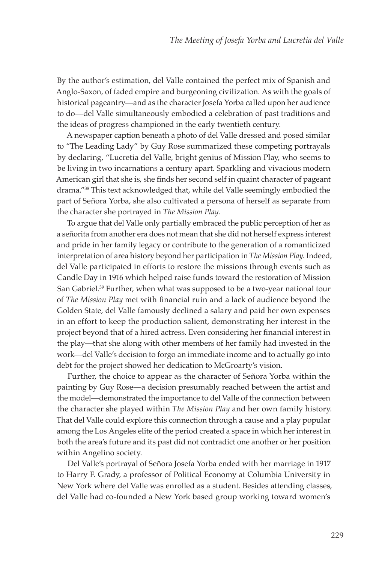By the author's estimation, del Valle contained the perfect mix of Spanish and Anglo-Saxon, of faded empire and burgeoning civilization. As with the goals of historical pageantry—and as the character Josefa Yorba called upon her audience to do—del Valle simultaneously embodied a celebration of past traditions and the ideas of progress championed in the early twentieth century.

A newspaper caption beneath a photo of del Valle dressed and posed similar to "The Leading Lady" by Guy Rose summarized these competing portrayals by declaring, "Lucretia del Valle, bright genius of Mission Play, who seems to be living in two incarnations a century apart. Sparkling and vivacious modern American girl that she is, she finds her second self in quaint character of pageant drama."38 This text acknowledged that, while del Valle seemingly embodied the part of Señora Yorba, she also cultivated a persona of herself as separate from the character she portrayed in *The Mission Play*.

To argue that del Valle only partially embraced the public perception of her as a señorita from another era does not mean that she did not herself express interest and pride in her family legacy or contribute to the generation of a romanticized interpretation of area history beyond her participation in *The Mission Play*. Indeed, del Valle participated in efforts to restore the missions through events such as Candle Day in 1916 which helped raise funds toward the restoration of Mission San Gabriel.<sup>39</sup> Further, when what was supposed to be a two-year national tour of *The Mission Play* met with financial ruin and a lack of audience beyond the Golden State, del Valle famously declined a salary and paid her own expenses in an effort to keep the production salient, demonstrating her interest in the project beyond that of a hired actress. Even considering her financial interest in the play—that she along with other members of her family had invested in the work—del Valle's decision to forgo an immediate income and to actually go into debt for the project showed her dedication to McGroarty's vision.

Further, the choice to appear as the character of Señora Yorba within the painting by Guy Rose—a decision presumably reached between the artist and the model—demonstrated the importance to del Valle of the connection between the character she played within *The Mission Play* and her own family history. That del Valle could explore this connection through a cause and a play popular among the Los Angeles elite of the period created a space in which her interest in both the area's future and its past did not contradict one another or her position within Angelino society.

Del Valle's portrayal of Señora Josefa Yorba ended with her marriage in 1917 to Harry F. Grady, a professor of Political Economy at Columbia University in New York where del Valle was enrolled as a student. Besides attending classes, del Valle had co-founded a New York based group working toward women's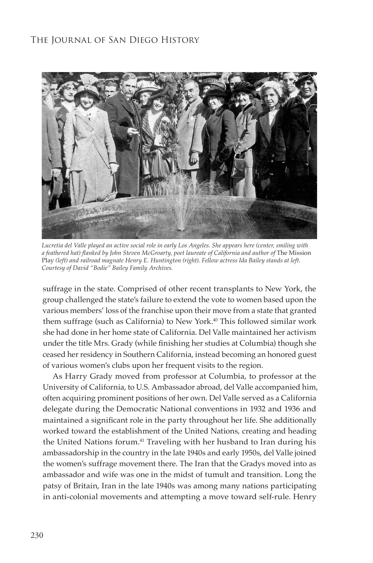

*Lucretia del Valle played an active social role in early Los Angeles. She appears here (center, smiling with*  a feathered hat) flanked by John Steven McGroarty, poet laureate of California and author of The Mission Play *(left) and railroad magnate Henry E. Huntington (right). Fellow actress Ida Bailey stands at left. Courtesy of David "Bodie" Bailey Family Archives.*

suffrage in the state. Comprised of other recent transplants to New York, the group challenged the state's failure to extend the vote to women based upon the various members' loss of the franchise upon their move from a state that granted them suffrage (such as California) to New York.<sup>40</sup> This followed similar work she had done in her home state of California. Del Valle maintained her activism under the title Mrs. Grady (while finishing her studies at Columbia) though she ceased her residency in Southern California, instead becoming an honored guest of various women's clubs upon her frequent visits to the region.

As Harry Grady moved from professor at Columbia, to professor at the University of California, to U.S. Ambassador abroad, del Valle accompanied him, often acquiring prominent positions of her own. Del Valle served as a California delegate during the Democratic National conventions in 1932 and 1936 and maintained a significant role in the party throughout her life. She additionally worked toward the establishment of the United Nations, creating and heading the United Nations forum.<sup>41</sup> Traveling with her husband to Iran during his ambassadorship in the country in the late 1940s and early 1950s, del Valle joined the women's suffrage movement there. The Iran that the Gradys moved into as ambassador and wife was one in the midst of tumult and transition. Long the patsy of Britain, Iran in the late 1940s was among many nations participating in anti-colonial movements and attempting a move toward self-rule. Henry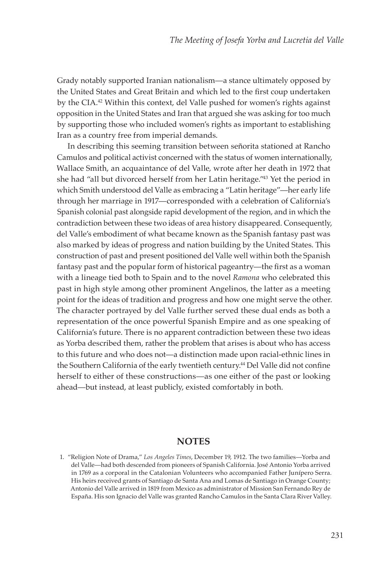Grady notably supported Iranian nationalism—a stance ultimately opposed by the United States and Great Britain and which led to the first coup undertaken by the CIA.42 Within this context, del Valle pushed for women's rights against opposition in the United States and Iran that argued she was asking for too much by supporting those who included women's rights as important to establishing Iran as a country free from imperial demands.

In describing this seeming transition between señorita stationed at Rancho Camulos and political activist concerned with the status of women internationally, Wallace Smith, an acquaintance of del Valle, wrote after her death in 1972 that she had "all but divorced herself from her Latin heritage."43 Yet the period in which Smith understood del Valle as embracing a "Latin heritage"—her early life through her marriage in 1917—corresponded with a celebration of California's Spanish colonial past alongside rapid development of the region, and in which the contradiction between these two ideas of area history disappeared. Consequently, del Valle's embodiment of what became known as the Spanish fantasy past was also marked by ideas of progress and nation building by the United States. This construction of past and present positioned del Valle well within both the Spanish fantasy past and the popular form of historical pageantry—the first as a woman with a lineage tied both to Spain and to the novel *Ramona* who celebrated this past in high style among other prominent Angelinos, the latter as a meeting point for the ideas of tradition and progress and how one might serve the other. The character portrayed by del Valle further served these dual ends as both a representation of the once powerful Spanish Empire and as one speaking of California's future. There is no apparent contradiction between these two ideas as Yorba described them, rather the problem that arises is about who has access to this future and who does not—a distinction made upon racial-ethnic lines in the Southern California of the early twentieth century.<sup>44</sup> Del Valle did not confine herself to either of these constructions—as one either of the past or looking ahead—but instead, at least publicly, existed comfortably in both.

#### **NOTES**

<sup>1.</sup> "Religion Note of Drama," *Los Angeles Times*, December 19, 1912. The two families—Yorba and del Valle—had both descended from pioneers of Spanish California. José Antonio Yorba arrived in 1769 as a corporal in the Catalonian Volunteers who accompanied Father Junípero Serra. His heirs received grants of Santiago de Santa Ana and Lomas de Santiago in Orange County; Antonio del Valle arrived in 1819 from Mexico as administrator of Mission San Fernando Rey de España. His son Ignacio del Valle was granted Rancho Camulos in the Santa Clara River Valley.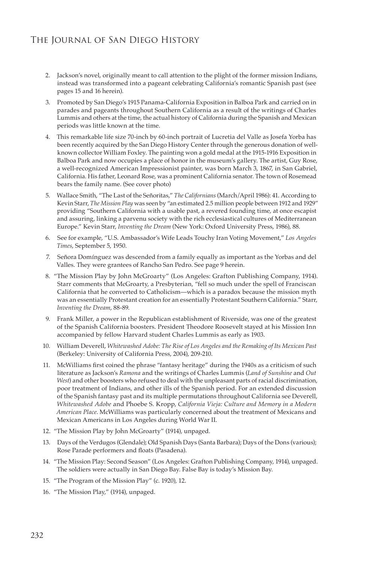- 2. Jackson's novel, originally meant to call attention to the plight of the former mission Indians, instead was transformed into a pageant celebrating California's romantic Spanish past (see pages 15 and 16 herein).
- 3. Promoted by San Diego's 1915 Panama-California Exposition in Balboa Park and carried on in parades and pageants throughout Southern California as a result of the writings of Charles Lummis and others at the time, the actual history of California during the Spanish and Mexican periods was little known at the time.
- 4. This remarkable life size 70-inch by 60-inch portrait of Lucretia del Valle as Josefa Yorba has been recently acquired by the San Diego History Center through the generous donation of wellknown collector William Foxley. The painting won a gold medal at the 1915-1916 Exposition in Balboa Park and now occupies a place of honor in the museum's gallery. The artist, Guy Rose, a well-recognized American Impressionist painter, was born March 3, 1867, in San Gabriel, California. His father, Leonard Rose, was a prominent California senator. The town of Rosemead bears the family name. (See cover photo)
- 5. Wallace Smith, "The Last of the Señoritas," *The Californians* (March/April 1986): 41. According to Kevin Starr, *The Mission Play* was seen by "an estimated 2.5 million people between 1912 and 1929" providing "Southern California with a usable past, a revered founding time, at once escapist and assuring, linking a parvenu society with the rich ecclesiastical cultures of Mediterranean Europe." Kevin Starr, *Inventing the Dream* (New York: Oxford University Press, 1986), 88.
- 6. See for example, "U.S. Ambassador's Wife Leads Touchy Iran Voting Movement," *Los Angeles Times*, September 5, 1950.
- 7. Señora Domínguez was descended from a family equally as important as the Yorbas and del Valles. They were grantees of Rancho San Pedro. See page 9 herein.
- 8. "The Mission Play by John McGroarty" (Los Angeles: Grafton Publishing Company, 1914). Starr comments that McGroarty, a Presbyterian, "fell so much under the spell of Franciscan California that he converted to Catholicism—which is a paradox because the mission myth was an essentially Protestant creation for an essentially Protestant Southern California." Starr, *Inventing the Dream*, 88-89.
- 9. Frank Miller, a power in the Republican establishment of Riverside, was one of the greatest of the Spanish California boosters. President Theodore Roosevelt stayed at his Mission Inn accompanied by fellow Harvard student Charles Lummis as early as 1903.
- 10. William Deverell, *Whitewashed Adobe: The Rise of Los Angeles and the Remaking of Its Mexican Past* (Berkeley: University of California Press, 2004), 209-210.
- 11. McWilliams first coined the phrase "fantasy heritage" during the 1940s as a criticism of such literature as Jackson's *Ramona* and the writings of Charles Lummis (*Land of Sunshine* and *Out West*) and other boosters who refused to deal with the unpleasant parts of racial discrimination, poor treatment of Indians, and other ills of the Spanish period. For an extended discussion of the Spanish fantasy past and its multiple permutations throughout California see Deverell, *Whitewashed Adobe* and Phoebe S. Kropp, *California Vieja: Culture and Memory in a Modern American Place*. McWilliams was particularly concerned about the treatment of Mexicans and Mexican Americans in Los Angeles during World War II.
- 12. "The Mission Play by John McGroarty" (1914), unpaged.
- 13. Days of the Verdugos (Glendale); Old Spanish Days (Santa Barbara); Days of the Dons (various); Rose Parade performers and floats (Pasadena).
- 14. "The Mission Play: Second Season" (Los Angeles: Grafton Publishing Company, 1914), unpaged. The soldiers were actually in San Diego Bay. False Bay is today's Mission Bay.
- 15. "The Program of the Mission Play" (c. 1920), 12.
- 16. "The Mission Play," (1914), unpaged.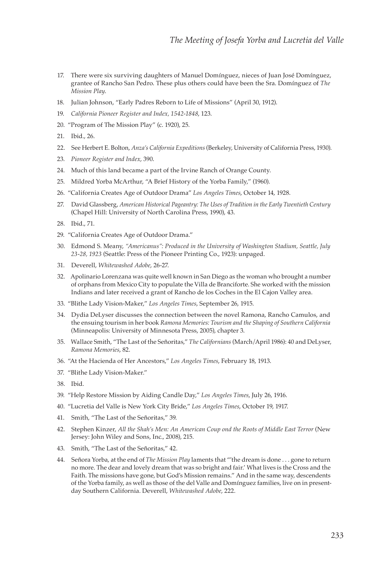- 17. There were six surviving daughters of Manuel Domínguez, nieces of Juan José Domínguez, grantee of Rancho San Pedro. These plus others could have been the Sra. Domínguez of *The Mission Play*.
- 18. Julian Johnson, "Early Padres Reborn to Life of Missions" (April 30, 1912).
- 19. *California Pioneer Register and Index, 1542-1848*, 123.
- 20. "Program of The Mission Play" (c. 1920), 25.
- 21. Ibid., 26.
- 22. See Herbert E. Bolton, *Anza's California Expeditions* (Berkeley, University of California Press, 1930).
- 23. *Pioneer Register and Index*, 390.
- 24. Much of this land became a part of the Irvine Ranch of Orange County.
- 25. Mildred Yorba McArthur, "A Brief History of the Yorba Family," (1960).
- 26. "California Creates Age of Outdoor Drama" *Los Angeles Times*, October 14, 1928.
- 27. David Glassberg, *American Historical Pageantry: The Uses of Tradition in the Early Twentieth Century* (Chapel Hill: University of North Carolina Press, 1990), 43.
- 28. Ibid., 71.
- 29. "California Creates Age of Outdoor Drama."
- 30. Edmond S. Meany, *"Americanus": Produced in the University of Washington Stadium, Seattle, July 23-28, 1923* (Seattle: Press of the Pioneer Printing Co., 1923): unpaged.
- 31. Deverell, *Whitewashed Adobe*, 26-27.
- 32. Apolinario Lorenzana was quite well known in San Diego as the woman who brought a number of orphans from Mexico City to populate the Villa de Branciforte. She worked with the mission Indians and later received a grant of Rancho de los Coches in the El Cajon Valley area.
- 33. "Blithe Lady Vision-Maker," *Los Angeles Times*, September 26, 1915.
- 34. Dydia DeLyser discusses the connection between the novel Ramona, Rancho Camulos, and the ensuing tourism in her book *Ramona Memories: Tourism and the Shaping of Southern California* (Minneapolis: University of Minnesota Press, 2005), chapter 3.
- 35. Wallace Smith, "The Last of the Señoritas," *The Californians* (March/April 1986): 40 and DeLyser, *Ramona Memories*, 82.
- 36. "At the Hacienda of Her Ancestors," *Los Angeles Times*, February 18, 1913.
- 37. "Blithe Lady Vision-Maker."
- 38. Ibid.
- 39. "Help Restore Mission by Aiding Candle Day," *Los Angeles Times*, July 26, 1916.
- 40. "Lucretia del Valle is New York City Bride," *Los Angeles Times*, October 19, 1917.
- 41. Smith, "The Last of the Señoritas," 39.
- 42. Stephen Kinzer, *All the Shah's Men: An American Coup ond the Roots of Middle East Terror* (New Jersey: John Wiley and Sons, Inc., 2008), 215.
- 43. Smith, "The Last of the Señoritas," 42.
- 44. Señora Yorba, at the end of *The Mission Play* laments that "'the dream is done . . . gone to return no more. The dear and lovely dream that was so bright and fair.' What lives is the Cross and the Faith. The missions have gone, but God's Mission remains." And in the same way, descendents of the Yorba family, as well as those of the del Valle and Domínguez families, live on in presentday Southern California. Deverell, *Whitewashed Adobe*, 222.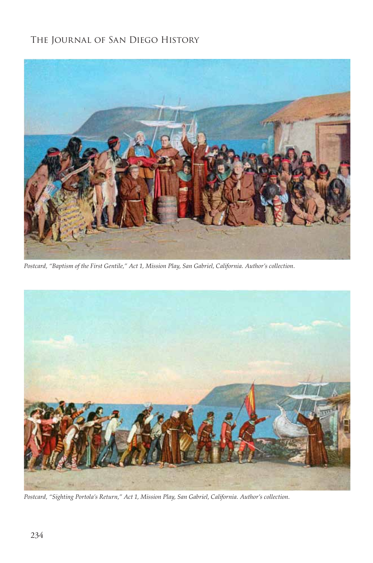

*Postcard, "Baptism of the First Gentile," Act 1, Mission Play, San Gabriel, California. Author's collection.*



*Postcard, "Sighting Portola's Return," Act 1, Mission Play, San Gabriel, California. Author's collection.*